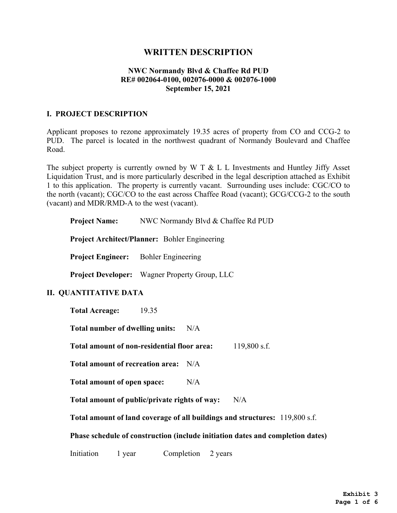# **WRITTEN DESCRIPTION**

### **NWC Normandy Blvd & Chaffee Rd PUD RE# 002064-0100, 002076-0000 & 002076-1000 September 15, 2021**

### **I. PROJECT DESCRIPTION**

Applicant proposes to rezone approximately 19.35 acres of property from CO and CCG-2 to PUD. The parcel is located in the northwest quadrant of Normandy Boulevard and Chaffee Road.

The subject property is currently owned by W T  $\&$  L L Investments and Huntley Jiffy Asset Liquidation Trust, and is more particularly described in the legal description attached as Exhibit 1 to this application. The property is currently vacant. Surrounding uses include: CGC/CO to the north (vacant); CGC/CO to the east across Chaffee Road (vacant); GCG/CCG-2 to the south (vacant) and MDR/RMD-A to the west (vacant).

|                                                                                | <b>Project Name:</b> NWC Normandy Blvd & Chaffee Rd PUD |
|--------------------------------------------------------------------------------|---------------------------------------------------------|
|                                                                                | <b>Project Architect/Planner:</b> Bohler Engineering    |
| <b>Project Engineer:</b> Bohler Engineering                                    |                                                         |
|                                                                                | <b>Project Developer:</b> Wagner Property Group, LLC    |
| <b>II. QUANTITATIVE DATA</b>                                                   |                                                         |
| Total Acreage: 19.35                                                           |                                                         |
| <b>Total number of dwelling units:</b><br>N/A                                  |                                                         |
| Total amount of non-residential floor area:<br>119,800 s.f.                    |                                                         |
| Total amount of recreation area: N/A                                           |                                                         |
| Total amount of open space:                                                    | N/A                                                     |
| Total amount of public/private rights of way:<br>N/A                           |                                                         |
| Total amount of land coverage of all buildings and structures: 119,800 s.f.    |                                                         |
| Phase schedule of construction (include initiation dates and completion dates) |                                                         |
| Initiation<br>1 year                                                           | Completion 2 years                                      |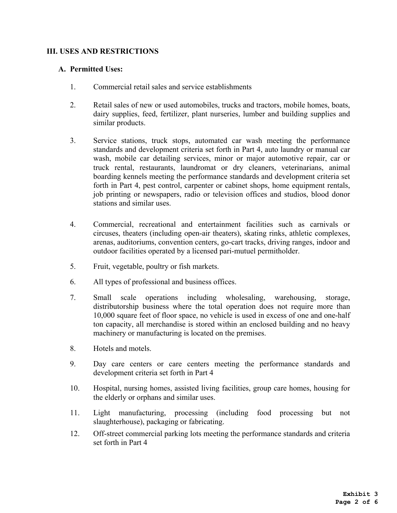## **III. USES AND RESTRICTIONS**

#### **A. Permitted Uses:**

- 1. Commercial retail sales and service establishments
- 2. Retail sales of new or used automobiles, trucks and tractors, mobile homes, boats, dairy supplies, feed, fertilizer, plant nurseries, lumber and building supplies and similar products.
- 3. Service stations, truck stops, automated car wash meeting the performance standards and development criteria set forth in Part 4, auto laundry or manual car wash, mobile car detailing services, minor or major automotive repair, car or truck rental, restaurants, laundromat or dry cleaners, veterinarians, animal boarding kennels meeting the performance standards and development criteria set forth in Part 4, pest control, carpenter or cabinet shops, home equipment rentals, job printing or newspapers, radio or television offices and studios, blood donor stations and similar uses.
- 4. Commercial, recreational and entertainment facilities such as carnivals or circuses, theaters (including open-air theaters), skating rinks, athletic complexes, arenas, auditoriums, convention centers, go-cart tracks, driving ranges, indoor and outdoor facilities operated by a licensed pari-mutuel permitholder.
- 5. Fruit, vegetable, poultry or fish markets.
- 6. All types of professional and business offices.
- 7. Small scale operations including wholesaling, warehousing, storage, distributorship business where the total operation does not require more than 10,000 square feet of floor space, no vehicle is used in excess of one and one-half ton capacity, all merchandise is stored within an enclosed building and no heavy machinery or manufacturing is located on the premises.
- 8. Hotels and motels.
- 9. Day care centers or care centers meeting the performance standards and development criteria set forth in Part 4
- 10. Hospital, nursing homes, assisted living facilities, group care homes, housing for the elderly or orphans and similar uses.
- 11. Light manufacturing, processing (including food processing but not slaughterhouse), packaging or fabricating.
- 12. Off-street commercial parking lots meeting the performance standards and criteria set forth in Part 4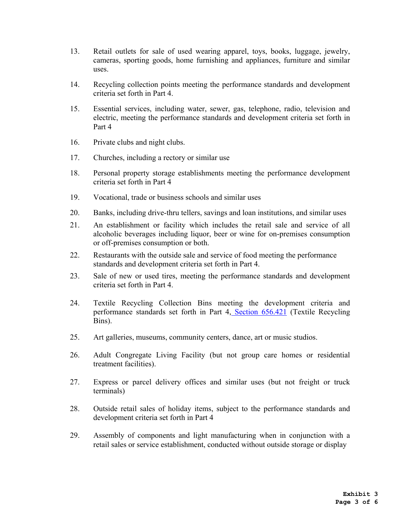- 13. Retail outlets for sale of used wearing apparel, toys, books, luggage, jewelry, cameras, sporting goods, home furnishing and appliances, furniture and similar uses.
- 14. Recycling collection points meeting the performance standards and development criteria set forth in Part 4.
- 15. Essential services, including water, sewer, gas, telephone, radio, television and electric, meeting the performance standards and development criteria set forth in Part 4
- 16. Private clubs and night clubs.
- 17. Churches, including a rectory or similar use
- 18. Personal property storage establishments meeting the performance development criteria set forth in Part 4
- 19. Vocational, trade or business schools and similar uses
- 20. Banks, including drive-thru tellers, savings and loan institutions, and similar uses
- 21. An establishment or facility which includes the retail sale and service of all alcoholic beverages including liquor, beer or wine for on-premises consumption or off-premises consumption or both.
- 22. Restaurants with the outside sale and service of food meeting the performance standards and development criteria set forth in Part 4.
- 23. Sale of new or used tires, meeting the performance standards and development criteria set forth in Part 4.
- 24. Textile Recycling Collection Bins meeting the development criteria and performance standards set forth in Part 4, Section 656.421 (Textile Recycling Bins).
- 25. Art galleries, museums, community centers, dance, art or music studios.
- 26. Adult Congregate Living Facility (but not group care homes or residential treatment facilities).
- 27. Express or parcel delivery offices and similar uses (but not freight or truck terminals)
- 28. Outside retail sales of holiday items, subject to the performance standards and development criteria set forth in Part 4
- 29. Assembly of components and light manufacturing when in conjunction with a retail sales or service establishment, conducted without outside storage or display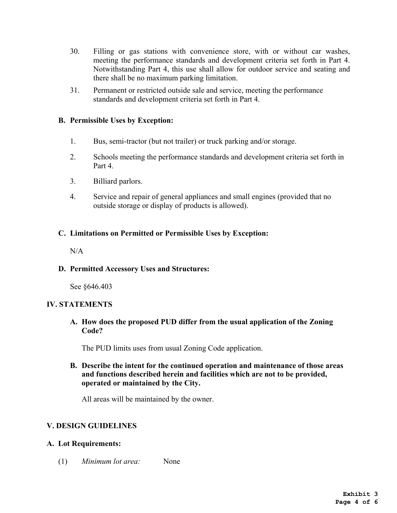- 30. Filling or gas stations with convenience store, with or without car washes, meeting the performance standards and development criteria set forth in Part 4. Notwithstanding Part 4, this use shall allow for outdoor service and seating and there shall be no maximum parking limitation.
- 31. Permanent or restricted outside sale and service, meeting the performance standards and development criteria set forth in Part 4.

### **B. Permissible Uses by Exception:**

- 1. Bus, semi-tractor (but not trailer) or truck parking and/or storage.
- 2. Schools meeting the performance standards and development criteria set forth in Part 4.
- 3. Billiard parlors.
- 4. Service and repair of general appliances and small engines (provided that no outside storage or display of products is allowed).

### **C. Limitations on Permitted or Permissible Uses by Exception:**

 $N/A$ 

**D. Permitted Accessory Uses and Structures:**

See §646.403

#### **IV. STATEMENTS**

**A. How does the proposed PUD differ from the usual application of the Zoning Code?**

The PUD limits uses from usual Zoning Code application.

**B. Describe the intent for the continued operation and maintenance of those areas and functions described herein and facilities which are not to be provided, operated or maintained by the City.**

All areas will be maintained by the owner.

### **V. DESIGN GUIDELINES**

#### **A. Lot Requirements:**

(1) *Minimum lot area:* None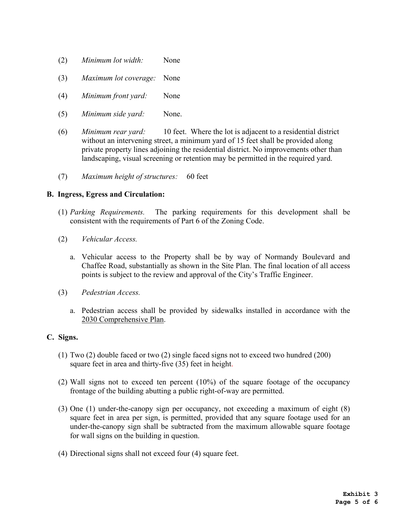- (2) *Minimum lot width:* None
- (3) *Maximum lot coverage:* None
- (4) *Minimum front yard:* None
- (5) *Minimum side yard:* None.
- (6) *Minimum rear yard:* 10 feet. Where the lot is adjacent to a residential district without an intervening street, a minimum yard of 15 feet shall be provided along private property lines adjoining the residential district. No improvements other than landscaping, visual screening or retention may be permitted in the required yard.
- (7) *Maximum height of structures:* 60 feet

#### **B. Ingress, Egress and Circulation:**

- (1) *Parking Requirements.* The parking requirements for this development shall be consistent with the requirements of Part 6 of the Zoning Code.
- (2) *Vehicular Access.*
	- a. Vehicular access to the Property shall be by way of Normandy Boulevard and Chaffee Road, substantially as shown in the Site Plan. The final location of all access points is subject to the review and approval of the City's Traffic Engineer.
- (3) *Pedestrian Access.*
	- a. Pedestrian access shall be provided by sidewalks installed in accordance with the 2030 Comprehensive Plan.

#### **C. Signs.**

- (1) Two (2) double faced or two (2) single faced signs not to exceed two hundred (200) square feet in area and thirty-five (35) feet in height.
- (2) Wall signs not to exceed ten percent (10%) of the square footage of the occupancy frontage of the building abutting a public right-of-way are permitted.
- (3) One (1) under-the-canopy sign per occupancy, not exceeding a maximum of eight (8) square feet in area per sign, is permitted, provided that any square footage used for an under-the-canopy sign shall be subtracted from the maximum allowable square footage for wall signs on the building in question.
- (4) Directional signs shall not exceed four (4) square feet.